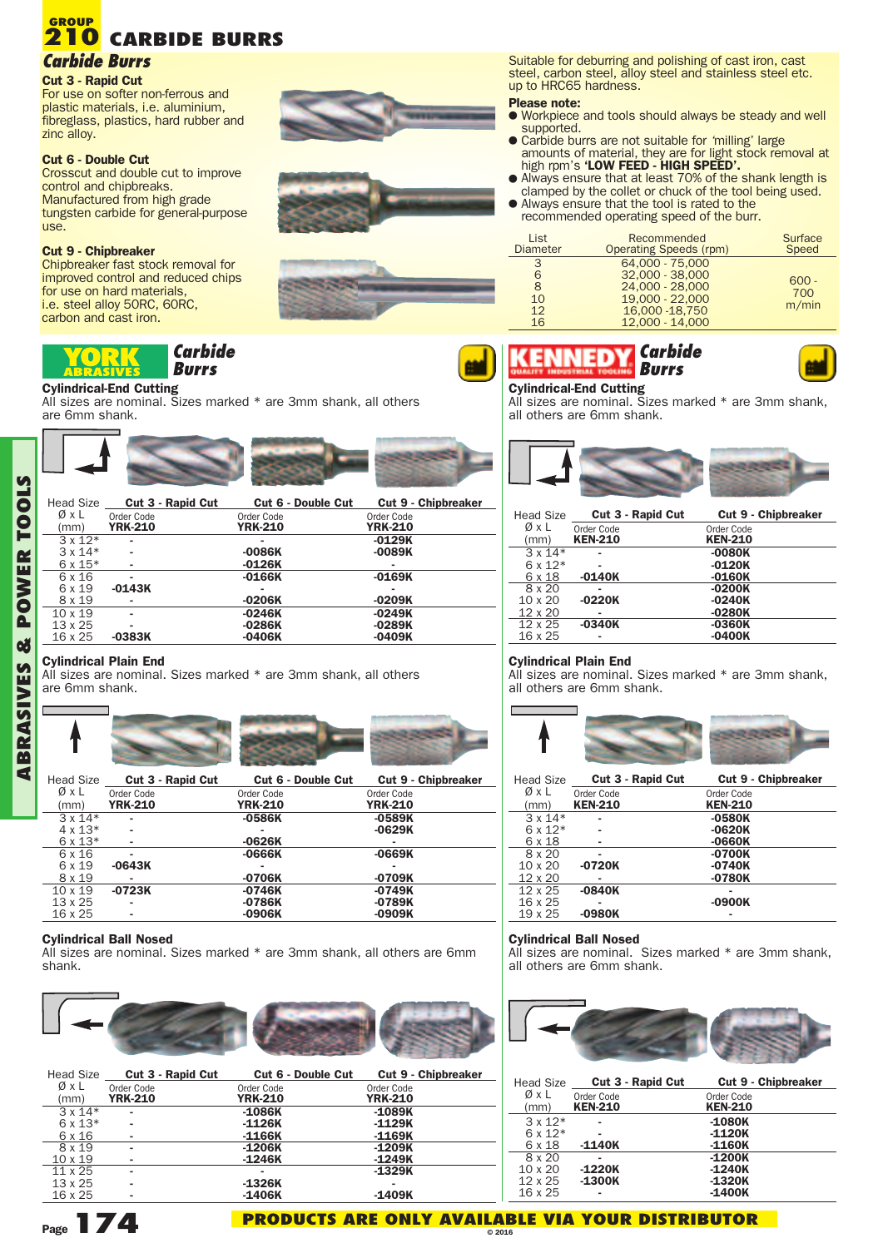# **CARBIDE BURRS 210** *Carbide Burrs* **GROUP**

# **Cut 3 - Rapid Cut**

For use on softer non-ferrous and plastic materials, i.e. aluminium, fibreglass, plastics, hard rubber and zinc alloy.

### **Cut 6 - Double Cut**

Crosscut and double cut to improve control and chipbreaks. Manufactured from high grade tungsten carbide for general-purpose use.

# **Cut 9 - Chipbreaker**

Chipbreaker fast stock removal for improved control and reduced chips for use on hard materials, i.e. steel alloy 50RC, 60RC, carbon and cast iron.

#### *Carbide*  $\left\vert 0\right\rangle$ *Burrs*

### **Cylindrical-End Cutting**

All sizes are nominal. Sizes marked \* are 3mm shank, all others are 6mm shank.



| ØxL            | Order Code     | Order Code     | Order Code     |
|----------------|----------------|----------------|----------------|
| (mm)           | <b>YRK-210</b> | <b>YRK-210</b> | <b>YRK-210</b> |
| $3 \times 12*$ | ۰              | ۰              | $-0129K$       |
| $3 \times 14*$ | ۰              | $-0086K$       | $-0089K$       |
| $6 \times 15*$ | ۰              | $-0126K$       | ۰              |
| 6 x 16         | ۰              | $-0166K$       | $-0169K$       |
| 6 x 19         | $-0143K$       | ۰              | ۰              |
| 8 x 19         | ۰              | $-0206K$       | $-0209K$       |
| $10 \times 19$ | ٠              | $-0246K$       | $-0249K$       |
| $13 \times 25$ | ۰              | $-0286K$       | $-0289K$       |
| 16 x 25        | $-0383K$       | $-0406K$       | $-0409K$       |
|                |                |                |                |

## **Cylindrical Plain End**

All sizes are nominal. Sizes marked \* are 3mm shank, all others are 6mm shank.



| <b>Head Size</b> | <b>Cut 3 - Rapid Cut</b> | <b>Cut 6 - Double Cut</b> | <b>Cut 9 - Chipbreaker</b> |
|------------------|--------------------------|---------------------------|----------------------------|
| ØxL              | Order Code               | Order Code                | Order Code                 |
| (mm)             | <b>YRK-210</b>           | <b>YRK-210</b>            | <b>YRK-210</b>             |
| $3 \times 14*$   |                          | $-0586K$                  | $-0589K$                   |
| $4 \times 13*$   |                          |                           | $-0629K$                   |
| $6 \times 13*$   |                          | $-0626K$                  |                            |
| 6 x 16           |                          | $-0666K$                  | $-0669K$                   |
| 6 x 19           | $-0643K$                 | ۰                         |                            |
| 8 x 19           |                          | $-0706K$                  | $-0709K$                   |
| $10 \times 19$   | $-0723K$                 | $-0746K$                  | $-0749K$                   |
| $13 \times 25$   |                          | $-0786K$                  | $-0789K$                   |
| 16 x 25          |                          | -0906K                    | $-0909K$                   |

## **Cylindrical Ball Nosed**

All sizes are nominal. Sizes marked \* are 3mm shank, all others are 6mm shank.



| <b>Head Size</b> | Cut 3 - Rapid Cut | <b>Cut 6 - Double Cut</b> | <b>Cut 9 - Chipbreaker</b> |
|------------------|-------------------|---------------------------|----------------------------|
| ØxL              | Order Code        | Order Code                | Order Code                 |
| (mm)             | <b>YRK-210</b>    | <b>YRK-210</b>            | <b>YRK-210</b>             |
| $3 \times 14*$   | ۰                 | $-1086K$                  | $-1089K$                   |
| $6 \times 13*$   | ۰                 | $-1126K$                  | $-1129K$                   |
| 6 x 16           | ۰                 | $-1166K$                  | $-1169K$                   |
| 8 x 19           | ۰                 | $-1206K$                  | $-1209K$                   |
| $10 \times 19$   |                   | $-1246K$                  | $-1249K$                   |
| $11 \times 25$   | ۰                 | ۰                         | $-1329K$                   |
| $13 \times 25$   | ۰                 | $-1326K$                  |                            |
| 16 x 25          | ۰                 | $-1406K$                  | $-1409K$                   |

Suitable for deburring and polishing of cast iron, cast steel, carbon steel, alloy steel and stainless steel etc. up to HRC65 hardness.

### **Please note:**

- <sup>l</sup> Workpiece and tools should always be steady and well supported.
- **•** Carbide burrs are not suitable for 'milling' large
- amounts of material, they are for light stock removal at high rpm's **'LOW FEED - HIGH SPEED'.**
- Always ensure that at least 70% of the shank length is clamped by the collet or chuck of the tool being used. • Always ensure that the tool is rated to the
- recommended operating speed of the burr.

| List<br><b>Diameter</b> | Recommended<br><b>Operating Speeds (rpm)</b> | Surface<br>Speed |
|-------------------------|----------------------------------------------|------------------|
| 3                       | 64.000 - 75.000                              |                  |
| 6                       | 32,000 - 38,000                              |                  |
| 8                       | 24,000 - 28,000                              | $600 -$          |
| 10                      | 19,000 - 22,000                              | 700              |
| 12                      | 16,000 - 18,750                              | m/min            |
| 16                      | 12,000 - 14,000                              |                  |



### **Cylindrical-End Cutting**

All sizes are nominal. Sizes marked \* are 3mm shank, all others are 6mm shank.



| <b>Head Size</b> |                | <b>Cut 3 - Rapid Cut</b><br><b>Cut 9 - Chipbreaker</b> |
|------------------|----------------|--------------------------------------------------------|
| ØxL              | Order Code     | Order Code                                             |
| (mm)             | <b>KEN-210</b> | <b>KEN-210</b>                                         |
| $3 \times 14*$   |                | $-0080K$                                               |
| $6 \times 12*$   |                | $-0120K$                                               |
| 6 x 18           | $-0140K$       | $-0160K$                                               |
| 8 x 20           |                | $-0200K$                                               |
| $10 \times 20$   | $-0220K$       | $-0240K$                                               |
| $12 \times 20$   |                | $-0280K$                                               |
| $12 \times 25$   | $-0340K$       | $-0360K$                                               |
| 16 x 25          |                | $-0400K$                                               |

## **Cylindrical Plain End**

All sizes are nominal. Sizes marked \* are 3mm shank, all others are 6mm shank.



| <b>Head Size</b> | <b>Cut 3 - Rapid Cut</b> |  | <b>Cut 9 - Chipbreaker</b> |
|------------------|--------------------------|--|----------------------------|
| ØxL              | Order Code               |  | Order Code                 |
| (mm)             | <b>KEN-210</b>           |  | <b>KEN-210</b>             |
| $3 \times 14*$   |                          |  | $-0580K$                   |
| $6 \times 12*$   |                          |  | $-0620K$                   |
| 6 x 18           |                          |  | -0660K                     |
| 8 x 20           |                          |  | $-0700K$                   |
| $10 \times 20$   | $-0720K$                 |  | $-0740K$                   |
| $12 \times 20$   |                          |  | $-0780K$                   |
| $12 \times 25$   | $-0840K$                 |  |                            |
| 16 x 25          |                          |  | $-0900K$                   |
| $19 \times 25$   | $-0980K$                 |  |                            |

## **Cylindrical Ball Nosed**

All sizes are nominal. Sizes marked \* are 3mm shank, all others are 6mm shank.



| <b>Head Size</b> |                | <b>Cut 3 - Rapid Cut</b><br><b>Cut 9 - Chipbreaker</b> |
|------------------|----------------|--------------------------------------------------------|
| ØxL              | Order Code     | Order Code                                             |
| (mm)             | <b>KEN-210</b> | <b>KEN-210</b>                                         |
| $3x12*$          |                | $-1080K$                                               |
| $6 \times 12*$   |                | $-1120K$                                               |
| 6 x 18           | $-1140K$       | $-1160K$                                               |
| 8 x 20           |                | $-1200K$                                               |
| $10 \times 20$   | $-1220K$       | $-1240K$                                               |
| 12 x 25          | $-1300K$       | $-1320K$                                               |
| 16 x 25          |                | $-1400K$                                               |



**A**

**Page174**

#### **PRODUCTS ARE ONLY AVAILABLE VIA YOUR DISTRIBUTOR © 2016**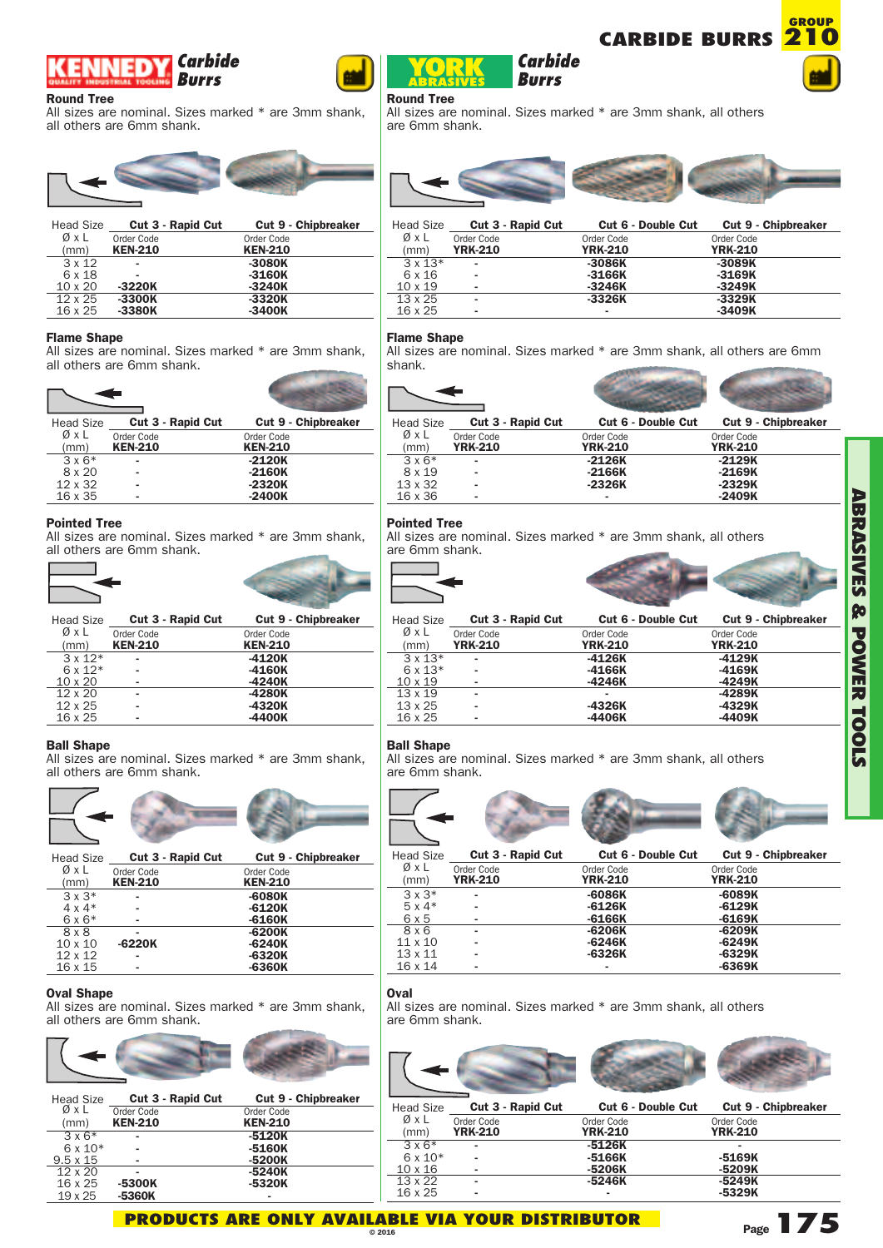#### *Carbide* 50 *Burrs*

## **Round Tree**

All sizes are nominal. Sizes marked \* are 3mm shank, all others are 6mm shank.



| <b>Head Size</b> |                | <b>Cut 3 - Rapid Cut</b> | <b>Cut 9 - Chipbreaker</b> |  |
|------------------|----------------|--------------------------|----------------------------|--|
| ØxL              | Order Code     |                          | Order Code                 |  |
| (mm)             | <b>KEN-210</b> |                          | <b>KEN-210</b>             |  |
| $3 \times 12$    |                |                          | $-3080K$                   |  |
| 6 x 18           |                |                          | $-3160K$                   |  |
| $10 \times 20$   | $-3220K$       |                          | $-3240K$                   |  |
| $12 \times 25$   | $-3300K$       |                          | $-3320K$                   |  |
| 16 x 25          | $-3380K$       |                          | $-3400K$                   |  |

## **Flame Shape**

All sizes are nominal. Sizes marked \* are 3mm shank, all others are 6mm shank.

| <b>Head Size</b> |                | <b>Cut 3 - Rapid Cut</b> | <b>Cut 9 - Chipbreaker</b> |  |
|------------------|----------------|--------------------------|----------------------------|--|
| ØxL              | Order Code     |                          | Order Code                 |  |
| (mm)             | <b>KEN-210</b> |                          | <b>KEN-210</b>             |  |
| $3 \times 6*$    |                |                          | $-2120K$                   |  |
| 8 x 20           |                |                          | $-2160K$                   |  |
| $12 \times 32$   |                |                          | $-2320K$                   |  |
| 16 x 35          |                |                          | $-2400K$                   |  |

# **Pointed Tree**

All sizes are nominal. Sizes marked \* are 3mm shank, all others are 6mm shank.





# **Ball Shape**

All sizes are nominal. Sizes marked \* are 3mm shank, all others are 6mm shank.



| ØxL            | Order Code     | Order Code     |
|----------------|----------------|----------------|
| (mm)           | <b>KEN-210</b> | <b>KEN-210</b> |
| $3 \times 3^*$ |                | $-6080K$       |
| $4 \times 4*$  |                | $-6120K$       |
| $6 \times 6*$  |                | $-6160K$       |
| 8 x 8          |                | $-6200K$       |
| $10 \times 10$ | $-6220K$       | $-6240K$       |
| $12 \times 12$ |                | $-6320K$       |
| 16 x 15        |                | $-6360K$       |
|                |                |                |

## **Oval Shape**

All sizes are nominal. Sizes marked \* are 3mm shank, all others are 6mm shank.

| <b>Head Size</b> |                | <b>Cut 3 - Rapid Cut</b> | <b>Cut 9 - Chipbreaker</b> |  |
|------------------|----------------|--------------------------|----------------------------|--|
| ØxL              | Order Code     |                          | Order Code                 |  |
| (mm)             | <b>KEN-210</b> |                          | <b>KEN-210</b>             |  |
| $3 \times 6*$    |                |                          | $-5120K$                   |  |
| $6 \times 10*$   |                |                          | $-5160K$                   |  |
| $9.5 \times 15$  |                |                          | $-5200K$                   |  |
| $12 \times 20$   |                |                          | $-5240K$                   |  |
| 16 x 25          | -5300K         |                          | -5320K                     |  |
| $19 \times 25$   | -5360K         |                          |                            |  |

# **Flame Shape**

**Round Tree**

are 6mm shank.

All sizes are nominal. Sizes marked \* are 3mm shank, all others are 6mm shank.

Head Size **Cut 3 - Rapid Cut Cut 6 - Double Cut Cut 9 - Chipbreaker**

*Burrs*

All sizes are nominal. Sizes marked \* are 3mm shank, all others

Ø x L Order Code Order Code Order Code (mm) **YRK-210 YRK-210 YRK-210** x 13\* **- -3086K -3089K** x 16 **- -3166K -3169K** x 19 **- -3246K -3249K** x 25 **- -3326K -3329K** x 25 **- - -3409K**

| <b>Head Size</b> | Cut 3 - Rapid Cut | <b>Cut 6 - Double Cut</b> | <b>Cut 9 - Chipbreaker</b> |
|------------------|-------------------|---------------------------|----------------------------|
| ØxL              | Order Code        | Order Code                | Order Code                 |
| (mm)             | <b>YRK-210</b>    | <b>YRK-210</b>            | <b>YRK-210</b>             |
| $3 \times 6*$    |                   | $-2126K$                  | $-2129K$                   |
| 8 x 19           |                   | $-2166K$                  | $-2169K$                   |
| 13 x 32          |                   | $-2326K$                  | $-2329K$                   |

# **Pointed Tree**

All sizes are nominal. Sizes marked \* are 3mm shank, all others are 6mm shank.

16 x 36 **- - -2409K**



| <b>Head Size</b> | <b>Cut 3 - Rapid Cut</b> | <b>Cut 6 - Double Cut</b> | <b>Cut 9 - Chipbreaker</b> |
|------------------|--------------------------|---------------------------|----------------------------|
| ØxL              | Order Code               | Order Code                | Order Code                 |
| (mm)             | <b>YRK-210</b>           | <b>YRK-210</b>            | <b>YRK-210</b>             |
| $3 \times 13*$   | ۰                        | $-4126K$                  | $-4129K$                   |
| $6 \times 13*$   | ۰                        | -4166K                    | $-4169K$                   |
| $10 \times 19$   | ۰                        | $-4246K$                  | $-4249K$                   |
| $13 \times 19$   | ۰                        |                           | -4289K                     |
| $13 \times 25$   | ۰                        | -4326K                    | -4329K                     |
| 16 x 25          | ۰                        | $-4406K$                  | $-4409K$                   |
|                  |                          |                           |                            |

# **Ball Shape**

All sizes are nominal. Sizes marked \* are 3mm shank, all others are 6mm shank.



| ØxL            | Order Code     | Order Code     | Order Code     |
|----------------|----------------|----------------|----------------|
| (mm)           | <b>YRK-210</b> | <b>YRK-210</b> | <b>YRK-210</b> |
| $3 \times 3^*$ | ۰              | $-6086K$       | $-6089K$       |
| $5 \times 4*$  | -              | $-6126K$       | $-6129K$       |
| 6 x 5          |                | $-6166K$       | $-6169K$       |
| 8 x 6          | ۰              | -6206K         | -6209K         |
| $11 \times 10$ | -              | $-6246K$       | $-6249K$       |
| $13 \times 11$ | -              | $-6326K$       | $-6329K$       |
| $16 \times 14$ | ۰              | ۰              | $-6369K$       |

# **Oval**

All sizes are nominal. Sizes marked \* are 3mm shank, all others are 6mm shank.

| <b>Head Size</b> |                | <b>Cut 3 - Rapid Cut</b> |                | <b>Cut 6 - Double Cut</b> |                | <b>Cut 9 - Chipbreaker</b> |
|------------------|----------------|--------------------------|----------------|---------------------------|----------------|----------------------------|
| ØxL              | Order Code     |                          | Order Code     |                           | Order Code     |                            |
| (mm)             | <b>YRK-210</b> |                          | <b>YRK-210</b> |                           | <b>YRK-210</b> |                            |
| $3 \times 6*$    |                |                          | $-5126K$       |                           |                |                            |
| $6 \times 10*$   |                |                          | $-5166K$       |                           | -5169K         |                            |
| $10 \times 16$   |                |                          | -5206K         |                           | $-5209K$       |                            |
| $13 \times 22$   |                |                          | -5246K         |                           | $-5249K$       |                            |
| 16 x 25          |                |                          |                |                           | $-5329K$       |                            |



**CARBIDE BURRS** *Carbide*



**GROUP**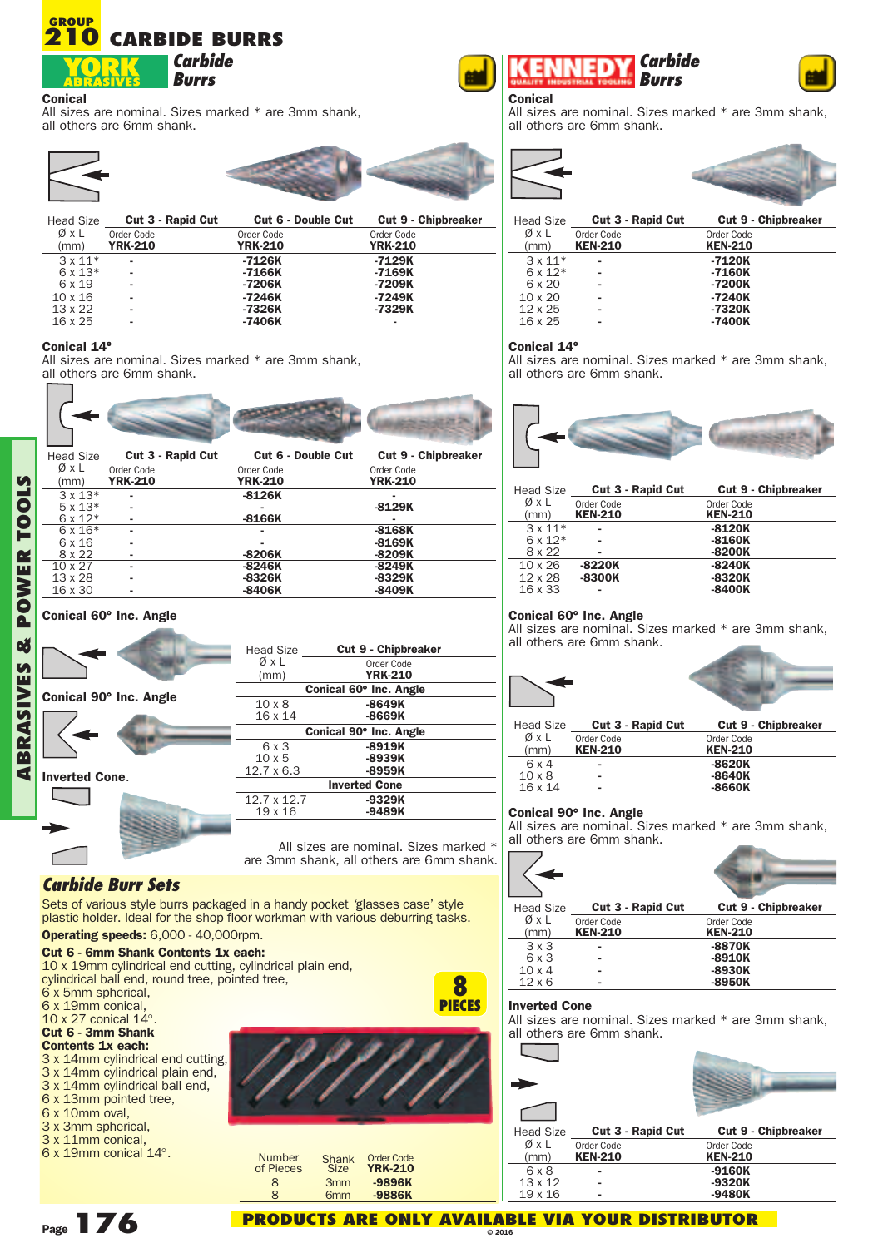#### **CARBIDE BURRS GROUP 210**



**Conical**

All sizes are nominal. Sizes marked \* are 3mm shank, all others are 6mm shank.







# **Conical 14**°

All sizes are nominal. Sizes marked \* are 3mm shank, all others are 6mm shank.

| <b>Head Size</b> | <b>Cut 3 - Rapid Cut</b> |                | <b>Cut 9 - Chipbreaker</b><br><b>Cut 6 - Double Cut</b> |
|------------------|--------------------------|----------------|---------------------------------------------------------|
| ØxL              | Order Code               | Order Code     | Order Code                                              |
| (mm)             | <b>YRK-210</b>           | <b>YRK-210</b> | <b>YRK-210</b>                                          |
| $3 \times 13*$   |                          | $-8126K$       |                                                         |
| $5x13*$          |                          |                | $-8129K$                                                |
| $6 \times 12*$   |                          | $-8166K$       |                                                         |
| $6x16*$          |                          |                | $-8168K$                                                |
| 6 x 16           |                          |                | $-8169K$                                                |
| 8 x 22           |                          | $-8206K$       | $-8209K$                                                |
| $10 \times 27$   |                          | $-8246K$       | $-8249K$                                                |
| 13 x 28          |                          | $-8326K$       | $-8329K$                                                |
| 16 x 30          |                          | $-8406K$       | $-8409K$                                                |

# **Conical 60**° **Inc. Angle Conical 60**° **Inc. Angle**

|                        | Head Size              | <b>Cut 9 - Chipbreaker</b>            |  |
|------------------------|------------------------|---------------------------------------|--|
|                        | ØxL<br>(mm)            | Order Code<br><b>YRK-210</b>          |  |
|                        | Conical 60° Inc. Angle |                                       |  |
| Conical 90° Inc. Angle | $10 \times 8$          | $-8649K$                              |  |
|                        | 16 x 14                | $-8669K$                              |  |
|                        |                        | Conical 90° Inc. Angle                |  |
|                        | 6 x 3                  | $-8919K$                              |  |
|                        | $10 \times 5$          | $-8939K$                              |  |
| <b>Inverted Cone.</b>  | $12.7 \times 6.3$      | -8959K                                |  |
|                        |                        | <b>Inverted Cone</b>                  |  |
|                        | 12.7 x 12.7            | $-9329K$                              |  |
|                        | $19 \times 16$         | $-9489K$                              |  |
|                        |                        | All sizes are nominal. Sizes marked * |  |
|                        |                        |                                       |  |

All sizes are nominal. Sizes marked \* are 3mm shank, all others are 6mm shank.

# *Carbide Burr Sets*

**ABRA**

> $\sqrt{2}$ n a

**SIV ES**

**&POW ERTOOLS**

> Sets of various style burrs packaged in a handy pocket 'glasses case' style plastic holder. Ideal for the shop floor workman with various deburring tasks. **Operating speeds:** 6,000 - 40,000rpm.

# **Cut 6 - 6mm Shank Contents 1x each:**

<sup>10</sup> <sup>x</sup> 19mm cylindrical end cutting, cylindrical plain end, cylindrical ball end, round tree, pointed tree, <sup>6</sup> <sup>x</sup> 5mm spherical, <sup>6</sup> <sup>x</sup> 19mm conical, <sup>10</sup> <sup>x</sup> <sup>27</sup> conical <sup>14</sup>°.

# **Cut 6 - 3mm Shank**

- **Contents 1x each:** 3 x 14mm cylindrical end cutting,
- 3 x 14mm cylindrical plain end,
- 3 x 14mm cylindrical ball end,
- 6 x 13mm pointed tree,
- 6 x 10mm oval,
- <sup>3</sup> <sup>x</sup> 3mm spherical, <sup>3</sup> <sup>x</sup> 11mm conical,
- 6 x 19mm conical 14°.



#### *Carbide* ED *Burrs*



**Conical** All sizes are nominal. Sizes marked \* are 3mm shank, all others are 6mm shank.





| <b>Head Size</b> |                | <b>Cut 3 - Rapid Cut</b><br><b>Cut 9 - Chipbreaker</b> |
|------------------|----------------|--------------------------------------------------------|
| ØxL              | Order Code     | Order Code                                             |
| (mm)             | <b>KEN-210</b> | <b>KEN-210</b>                                         |
| $3x11*$          |                | $-7120K$                                               |
| $6 \times 12*$   |                | $-7160K$                                               |
| 6 x 20           |                | $-7200K$                                               |
| $10 \times 20$   |                | $-7240K$                                               |
| $12 \times 25$   |                | $-7320K$                                               |
| 16 x 25          |                | $-7400K$                                               |

# **Conical 14**°

All sizes are nominal. Sizes marked \* are 3mm shank, all others are 6mm shank.



| <b>Head Size</b> |                | <b>Cut 3 - Rapid Cut</b><br><b>Cut 9 - Chipbreaker</b> |
|------------------|----------------|--------------------------------------------------------|
| ØxL              | Order Code     | Order Code                                             |
| (mm)             | <b>KEN-210</b> | <b>KEN-210</b>                                         |
| $3x11*$          |                | $-8120K$                                               |
| $6x12*$          |                | $-8160K$                                               |
| 8 x 22           |                | $-8200K$                                               |
| $10 \times 26$   | $-8220K$       | $-8240K$                                               |
| 12 x 28          | $-8300K$       | $-8320K$                                               |
| 16 x 33          |                | $-8400K$                                               |

All sizes are nominal. Sizes marked \* are 3mm shank, all others are 6mm shank.





| Head Size | Cut 3 - Rapid Cut | <b>Cut 9 - Chipbreaker</b> |
|-----------|-------------------|----------------------------|
| ØxI       | Order Code        | Order Code                 |
| (mm)      | <b>KEN-210</b>    | <b>KEN-210</b>             |
| 6 x 4     | ۰                 | -8620K                     |

# 10 x 8 **- -8640K** 16 x 14 **- -8660K**

# **Conical 90**° **Inc. Angle**

All sizes are nominal. Sizes marked \* are 3mm shank, all others are 6mm shank.

| <b>Head Size</b> |                | <b>Cut 3 - Rapid Cut</b><br><b>Cut 9 - Chipbreaker</b> |
|------------------|----------------|--------------------------------------------------------|
| ØxL              | Order Code     | Order Code                                             |
| (mm)             | <b>KEN-210</b> | <b>KEN-210</b>                                         |
| 3x3              |                | $-8870K$                                               |
| 6 x 3            | ۰              | $-8910K$                                               |
| $10 \times 4$    |                | $-8930K$                                               |
| $12 \times 6$    | ۰              | $-8950K$                                               |

# **Inverted Cone**

All sizes are nominal. Sizes marked \* are 3mm shank, all others are 6mm shank.

| <b>Head Size</b> | <b>Cut 3 - Rapid Cut</b> | <b>Cut 9 - Chipbreaker</b> |
|------------------|--------------------------|----------------------------|
| ØxL              | Order Code               | Order Code                 |
| (mm)             | <b>KEN-210</b>           | <b>KEN-210</b>             |
| 6 x 8            |                          | $-9160K$                   |
| 13 x 12          |                          | -9320K                     |



**8 PIECES**